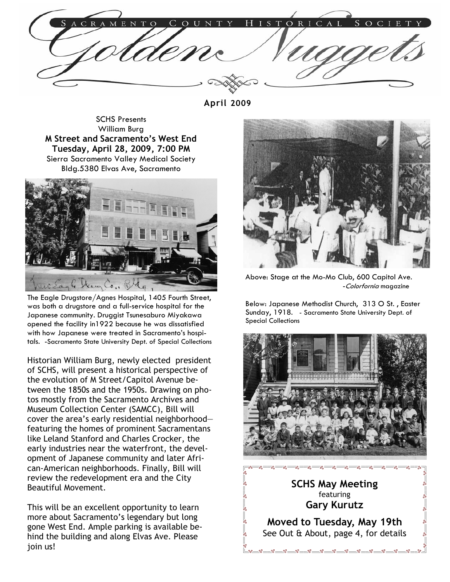April 2009

SCHS Presents William Burg M Street and Sacramento's West End Tuesday, April 28, 2009, 7:00 PM Sierra Sacramento Valley Medical Society Bldg.5380 Elvas Ave, Sacramento



The Eagle Drugstore/Agnes Hospital, 1405 Fourth Street, was both a drugstore and a full-service hospital for the Japanese community. Druggist Tsunesaburo Miyakawa opened the facility in1922 because he was dissatisfied with how Japanese were treated in Sacramento's hospitals. -Sacramento State University Dept. of Special Collections

Historian William Burg, newly elected president of SCHS, will present a historical perspective of the evolution of M Street/Capitol Avenue between the 1850s and the 1950s. Drawing on photos mostly from the Sacramento Archives and Museum Collection Center (SAMCC), Bill will cover the area's early residential neighborhood featuring the homes of prominent Sacramentans like Leland Stanford and Charles Crocker, the early industries near the waterfront, the development of Japanese community and later African-American neighborhoods. Finally, Bill will review the redevelopment era and the City Beautiful Movement.

This will be an excellent opportunity to learn more about Sacramento's legendary but long gone West End. Ample parking is available behind the building and along Elvas Ave. Please join us!



Above: Stage at the Mo-Mo Club, 600 Capitol Ave. -Colorfornia magazine

Below: Japanese Methodist Church, 313 O St. , Easter Sunday, 1918. - Sacramento State University Dept. of Special Collections



Moved to Tuesday, May 19th See Out & About, page 4, for details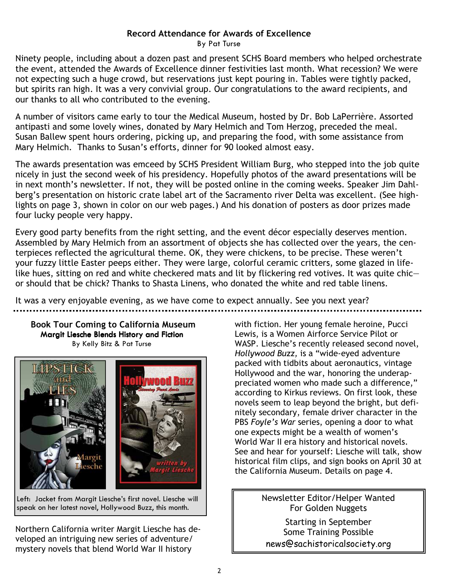## Record Attendance for Awards of Excellence

By Pat Turse

Ninety people, including about a dozen past and present SCHS Board members who helped orchestrate the event, attended the Awards of Excellence dinner festivities last month. What recession? We were not expecting such a huge crowd, but reservations just kept pouring in. Tables were tightly packed, but spirits ran high. It was a very convivial group. Our congratulations to the award recipients, and our thanks to all who contributed to the evening.

A number of visitors came early to tour the Medical Museum, hosted by Dr. Bob LaPerrière. Assorted antipasti and some lovely wines, donated by Mary Helmich and Tom Herzog, preceded the meal. Susan Ballew spent hours ordering, picking up, and preparing the food, with some assistance from Mary Helmich. Thanks to Susan's efforts, dinner for 90 looked almost easy.

The awards presentation was emceed by SCHS President William Burg, who stepped into the job quite nicely in just the second week of his presidency. Hopefully photos of the award presentations will be in next month's newsletter. If not, they will be posted online in the coming weeks. Speaker Jim Dahlberg's presentation on historic crate label art of the Sacramento river Delta was excellent. (See highlights on page 3, shown in color on our web pages.) And his donation of posters as door prizes made four lucky people very happy.

Every good party benefits from the right setting, and the event décor especially deserves mention. Assembled by Mary Helmich from an assortment of objects she has collected over the years, the centerpieces reflected the agricultural theme. OK, they were chickens, to be precise. These weren't your fuzzy little Easter peeps either. They were large, colorful ceramic critters, some glazed in lifelike hues, sitting on red and white checkered mats and lit by flickering red votives. It was quite chic or should that be chick? Thanks to Shasta Linens, who donated the white and red table linens.

It was a very enjoyable evening, as we have come to expect annually. See you next year?

Book Tour Coming to California Museum Margit Liesche Blends History and Fiction By Kelly Bitz & Pat Turse



Left: Jacket from Margit Liesche's first novel. Liesche will speak on her latest novel, Hollywood Buzz, this month.

Northern California writer Margit Liesche has developed an intriguing new series of adventure/ mystery novels that blend World War II history

with fiction. Her young female heroine, Pucci Lewis, is a Women Airforce Service Pilot or WASP. Liesche's recently released second novel, Hollywood Buzz, is a "wide-eyed adventure packed with tidbits about aeronautics, vintage Hollywood and the war, honoring the underappreciated women who made such a difference," according to Kirkus reviews. On first look, these novels seem to leap beyond the bright, but definitely secondary, female driver character in the PBS Foyle's War series, opening a door to what one expects might be a wealth of women's World War II era history and historical novels. See and hear for yourself: Liesche will talk, show historical film clips, and sign books on April 30 at the California Museum. Details on page 4.

> Newsletter Editor/Helper Wanted For Golden Nuggets

Starting in September Some Training Possible news@sachistoricalsociety.org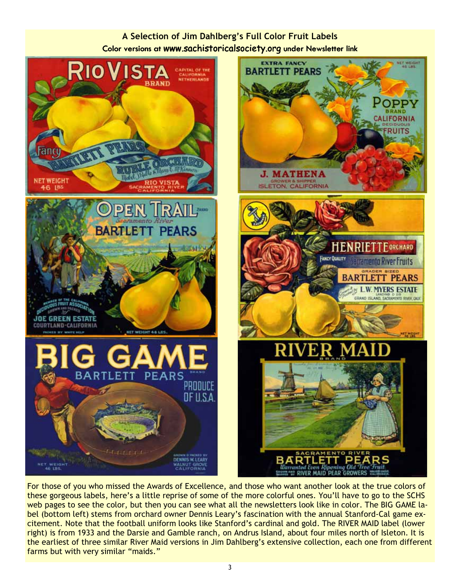## A Selection of Jim Dahlberg's Full Color Fruit Labels Color versions at www.sachistoricalsociety.org under Newsletter link



For those of you who missed the Awards of Excellence, and those who want another look at the true colors of these gorgeous labels, here's a little reprise of some of the more colorful ones. You'll have to go to the SCHS web pages to see the color, but then you can see what all the newsletters look like in color. The BIG GAME label (bottom left) stems from orchard owner Dennis Leary's fascination with the annual Stanford-Cal game excitement. Note that the football uniform looks like Stanford's cardinal and gold. The RIVER MAID label (lower right) is from 1933 and the Darsie and Gamble ranch, on Andrus Island, about four miles north of Isleton. It is the earliest of three similar River Maid versions in Jim Dahlberg's extensive collection, each one from different farms but with very similar "maids."